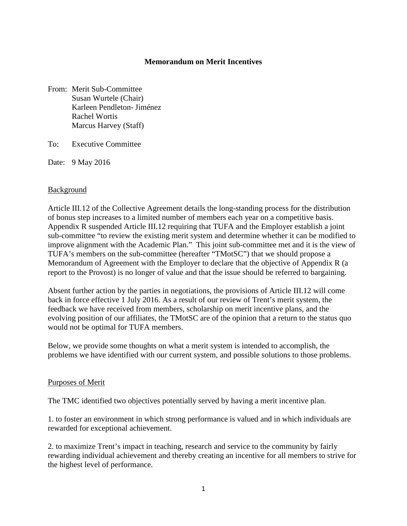## **Memorandum on Merit Incentives**

- From: Merit Sub-Committee Susan Wurtele (Chair) Karleen Pendleton- Jiménez Rachel Wortis Marcus Harvey (Staff)
- To: Executive Committee

Date: 9 May 2016

#### Background

Article III.12 of the Collective Agreement details the long-standing process for the distribution of bonus step increases to a limited number of members each year on a competitive basis. Appendix R suspended Article III.12 requiring that TUFA and the Employer establish a joint sub-committee "to review the existing merit system and determine whether it can be modified to improve alignment with the Academic Plan." This joint sub-committee met and it is the view of TUFA's members on the sub-committee (hereafter "TMotSC") that we should propose a Memorandum of Agreement with the Employer to declare that the objective of Appendix R (a report to the Provost) is no longer of value and that the issue should be referred to bargaining.

Absent further action by the parties in negotiations, the provisions of Article III.12 will come back in force effective 1 July 2016. As a result of our review of Trent's merit system, the feedback we have received from members, scholarship on merit incentive plans, and the evolving position of our affiliates, the TMotSC are of the opinion that a return to the status quo would not be optimal for TUFA members.

Below, we provide some thoughts on what a merit system is intended to accomplish, the problems we have identified with our current system, and possible solutions to those problems.

#### Purposes of Merit

The TMC identified two objectives potentially served by having a merit incentive plan.

1. to foster an environment in which strong performance is valued and in which individuals are rewarded for exceptional achievement.

2. to maximize Trent's impact in teaching, research and service to the community by fairly rewarding individual achievement and thereby creating an incentive for all members to strive for the highest level of performance.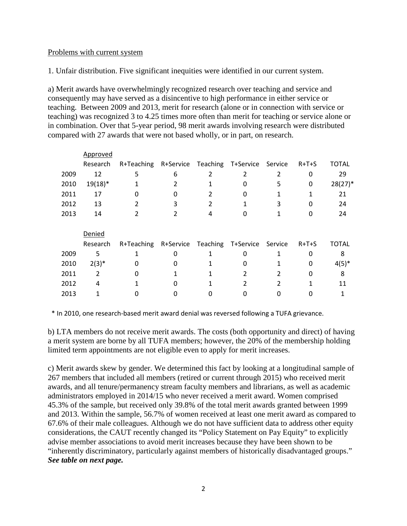## Problems with current system

1. Unfair distribution. Five significant inequities were identified in our current system.

a) Merit awards have overwhelmingly recognized research over teaching and service and consequently may have served as a disincentive to high performance in either service or teaching. Between 2009 and 2013, merit for research (alone or in connection with service or teaching) was recognized 3 to 4.25 times more often than merit for teaching or service alone or in combination. Over that 5-year period, 98 merit awards involving research were distributed compared with 27 awards that were not based wholly, or in part, on research.

|      | Approved   |                                                 |   |   |   |                |              |              |
|------|------------|-------------------------------------------------|---|---|---|----------------|--------------|--------------|
|      | Research   | R+Teaching R+Service Teaching T+Service Service |   |   |   |                | R+T+S        | <b>TOTAL</b> |
| 2009 | 12         | 5                                               | 6 | 2 | 2 | $\overline{2}$ | 0            | 29           |
| 2010 | $19(18)^*$ |                                                 | 2 |   |   | 5              | 0            | $28(27)^*$   |
| 2011 | 17         | 0                                               | 0 | 2 |   |                | 1            | 21           |
| 2012 | 13         | 2                                               | 3 |   |   | 3              | 0            | 24           |
| 2013 | 14         | 2                                               |   | 4 |   |                | <sup>0</sup> | 24           |
|      |            |                                                 |   |   |   |                |              |              |
|      | Denied     |                                                 |   |   |   |                |              |              |
|      | Research   | R+Teaching R+Service Teaching T+Service Service |   |   |   |                | R+T+S        | <b>TOTAL</b> |
| 2009 | 5          |                                                 | O |   |   |                |              | 8            |
| 2010 | $2(3)^{*}$ | 0                                               | 0 |   |   | 1              | 0            | $4(5)^*$     |
| 2011 | 2          | $\Omega$                                        |   |   |   |                | <sup>0</sup> | 8            |
| 2012 | 4          |                                                 | 0 |   | 2 | 2              |              | 11           |
| 2013 | 1          |                                                 |   |   |   |                |              |              |

\* In 2010, one research-based merit award denial was reversed following a TUFA grievance.

b) LTA members do not receive merit awards. The costs (both opportunity and direct) of having a merit system are borne by all TUFA members; however, the 20% of the membership holding limited term appointments are not eligible even to apply for merit increases.

c) Merit awards skew by gender. We determined this fact by looking at a longitudinal sample of 267 members that included all members (retired or current through 2015) who received merit awards, and all tenure/permanency stream faculty members and librarians, as well as academic administrators employed in 2014/15 who never received a merit award. Women comprised 45.3% of the sample, but received only 39.8% of the total merit awards granted between 1999 and 2013. Within the sample, 56.7% of women received at least one merit award as compared to 67.6% of their male colleagues. Although we do not have sufficient data to address other equity considerations, the CAUT recently changed its "Policy Statement on Pay Equity" to explicitly advise member associations to avoid merit increases because they have been shown to be "inherently discriminatory, particularly against members of historically disadvantaged groups." *See table on next page.*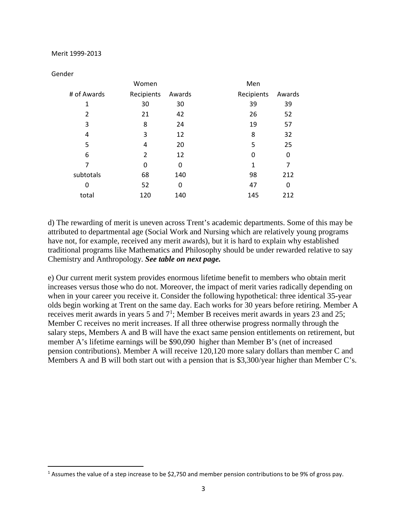#### Merit 1999-2013

.<br>-

| Gender      |            |        |            |        |  |
|-------------|------------|--------|------------|--------|--|
|             | Women      |        | Men        |        |  |
| # of Awards | Recipients | Awards | Recipients | Awards |  |
| 1           | 30         | 30     | 39         | 39     |  |
| 2           | 21         | 42     | 26         | 52     |  |
| 3           | 8          | 24     | 19         | 57     |  |
| 4           | 3          | 12     | 8          | 32     |  |
| 5           | 4          | 20     | 5          | 25     |  |
| 6           | 2          | 12     | 0          | 0      |  |
| 7           | 0          | 0      | 1          | 7      |  |
| subtotals   | 68         | 140    | 98         | 212    |  |
| 0           | 52         | 0      | 47         | 0      |  |
| total       | 120        | 140    | 145        | 212    |  |
|             |            |        |            |        |  |

d) The rewarding of merit is uneven across Trent's academic departments. Some of this may be attributed to departmental age (Social Work and Nursing which are relatively young programs have not, for example, received any merit awards), but it is hard to explain why established traditional programs like Mathematics and Philosophy should be under rewarded relative to say Chemistry and Anthropology. *See table on next page.*

e) Our current merit system provides enormous lifetime benefit to members who obtain merit increases versus those who do not. Moreover, the impact of merit varies radically depending on when in your career you receive it. Consider the following hypothetical: three identical 35-year olds begin working at Trent on the same day. Each works for 30 years before retiring. Member A receives merit awards in years 5 and  $7<sup>1</sup>$ ; Member B receives merit awards in years 23 and 25; Member C receives no merit increases. If all three otherwise progress normally through the salary steps, Members A and B will have the exact same pension entitlements on retirement, but member A's lifetime earnings will be \$90,090 higher than Member B's (net of increased pension contributions). Member A will receive 120,120 more salary dollars than member C and Members A and B will both start out with a pension that is \$3,300/year higher than Member C's.

<sup>&</sup>lt;sup>1</sup> Assumes the value of a step increase to be \$2,750 and member pension contributions to be 9% of gross pay.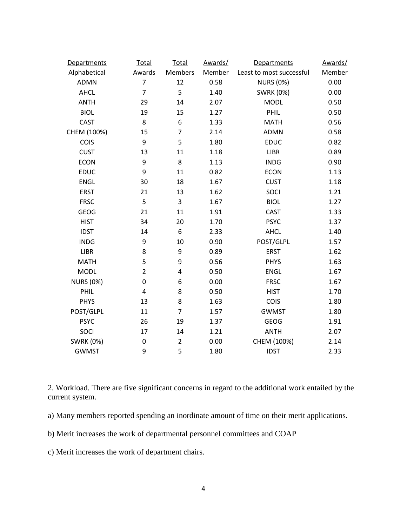| Departments      | Total            | Total          | Awards/ | Departments              | Awards/ |
|------------------|------------------|----------------|---------|--------------------------|---------|
| Alphabetical     | Awards           | <b>Members</b> | Member  | Least to most successful | Member  |
| <b>ADMN</b>      | 7                | 12             | 0.58    | <b>NURS (0%)</b>         | 0.00    |
| <b>AHCL</b>      | $\overline{7}$   | 5              | 1.40    | <b>SWRK (0%)</b>         | 0.00    |
| <b>ANTH</b>      | 29               | 14             | 2.07    | <b>MODL</b>              | 0.50    |
| <b>BIOL</b>      | 19               | 15             | 1.27    | PHIL                     | 0.50    |
| <b>CAST</b>      | 8                | 6              | 1.33    | <b>MATH</b>              | 0.56    |
| CHEM (100%)      | 15               | $\overline{7}$ | 2.14    | <b>ADMN</b>              | 0.58    |
| COIS             | 9                | 5              | 1.80    | <b>EDUC</b>              | 0.82    |
| <b>CUST</b>      | 13               | 11             | 1.18    | <b>LIBR</b>              | 0.89    |
| <b>ECON</b>      | 9                | 8              | 1.13    | <b>INDG</b>              | 0.90    |
| <b>EDUC</b>      | 9                | 11             | 0.82    | <b>ECON</b>              | 1.13    |
| <b>ENGL</b>      | 30               | 18             | 1.67    | <b>CUST</b>              | 1.18    |
| <b>ERST</b>      | 21               | 13             | 1.62    | SOCI                     | 1.21    |
| <b>FRSC</b>      | 5                | 3              | 1.67    | <b>BIOL</b>              | 1.27    |
| <b>GEOG</b>      | 21               | 11             | 1.91    | <b>CAST</b>              | 1.33    |
| <b>HIST</b>      | 34               | 20             | 1.70    | <b>PSYC</b>              | 1.37    |
| <b>IDST</b>      | 14               | 6              | 2.33    | <b>AHCL</b>              | 1.40    |
| <b>INDG</b>      | 9                | 10             | 0.90    | POST/GLPL                | 1.57    |
| <b>LIBR</b>      | 8                | 9              | 0.89    | <b>ERST</b>              | 1.62    |
| <b>MATH</b>      | 5                | 9              | 0.56    | <b>PHYS</b>              | 1.63    |
| <b>MODL</b>      | $\overline{2}$   | $\overline{4}$ | 0.50    | <b>ENGL</b>              | 1.67    |
| <b>NURS (0%)</b> | $\boldsymbol{0}$ | 6              | 0.00    | <b>FRSC</b>              | 1.67    |
| PHIL             | 4                | 8              | 0.50    | <b>HIST</b>              | 1.70    |
| <b>PHYS</b>      | 13               | 8              | 1.63    | COIS                     | 1.80    |
| POST/GLPL        | 11               | $\overline{7}$ | 1.57    | <b>GWMST</b>             | 1.80    |
| <b>PSYC</b>      | 26               | 19             | 1.37    | <b>GEOG</b>              | 1.91    |
| SOCI             | 17               | 14             | 1.21    | <b>ANTH</b>              | 2.07    |
| <b>SWRK (0%)</b> | 0                | $\overline{2}$ | 0.00    | CHEM (100%)              | 2.14    |
| <b>GWMST</b>     | 9                | 5              | 1.80    | <b>IDST</b>              | 2.33    |

2. Workload. There are five significant concerns in regard to the additional work entailed by the current system.

a) Many members reported spending an inordinate amount of time on their merit applications.

b) Merit increases the work of departmental personnel committees and COAP

c) Merit increases the work of department chairs.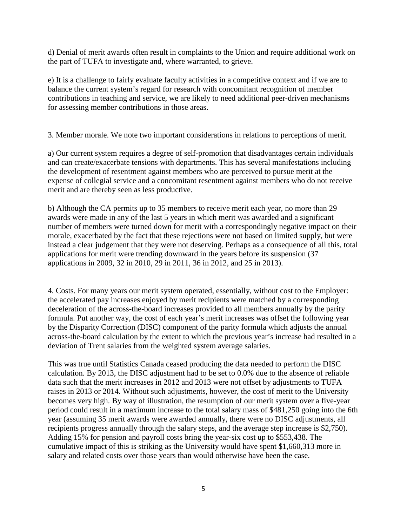d) Denial of merit awards often result in complaints to the Union and require additional work on the part of TUFA to investigate and, where warranted, to grieve.

e) It is a challenge to fairly evaluate faculty activities in a competitive context and if we are to balance the current system's regard for research with concomitant recognition of member contributions in teaching and service, we are likely to need additional peer-driven mechanisms for assessing member contributions in those areas.

3. Member morale. We note two important considerations in relations to perceptions of merit.

a) Our current system requires a degree of self-promotion that disadvantages certain individuals and can create/exacerbate tensions with departments. This has several manifestations including the development of resentment against members who are perceived to pursue merit at the expense of collegial service and a concomitant resentment against members who do not receive merit and are thereby seen as less productive.

b) Although the CA permits up to 35 members to receive merit each year, no more than 29 awards were made in any of the last 5 years in which merit was awarded and a significant number of members were turned down for merit with a correspondingly negative impact on their morale, exacerbated by the fact that these rejections were not based on limited supply, but were instead a clear judgement that they were not deserving. Perhaps as a consequence of all this, total applications for merit were trending downward in the years before its suspension (37 applications in 2009, 32 in 2010, 29 in 2011, 36 in 2012, and 25 in 2013).

4. Costs. For many years our merit system operated, essentially, without cost to the Employer: the accelerated pay increases enjoyed by merit recipients were matched by a corresponding deceleration of the across-the-board increases provided to all members annually by the parity formula. Put another way, the cost of each year's merit increases was offset the following year by the Disparity Correction (DISC) component of the parity formula which adjusts the annual across-the-board calculation by the extent to which the previous year's increase had resulted in a deviation of Trent salaries from the weighted system average salaries.

This was true until Statistics Canada ceased producing the data needed to perform the DISC calculation. By 2013, the DISC adjustment had to be set to 0.0% due to the absence of reliable data such that the merit increases in 2012 and 2013 were not offset by adjustments to TUFA raises in 2013 or 2014. Without such adjustments, however, the cost of merit to the University becomes very high. By way of illustration, the resumption of our merit system over a five-year period could result in a maximum increase to the total salary mass of \$481,250 going into the 6th year (assuming 35 merit awards were awarded annually, there were no DISC adjustments, all recipients progress annually through the salary steps, and the average step increase is \$2,750). Adding 15% for pension and payroll costs bring the year-six cost up to \$553,438. The cumulative impact of this is striking as the University would have spent \$1,660,313 more in salary and related costs over those years than would otherwise have been the case.